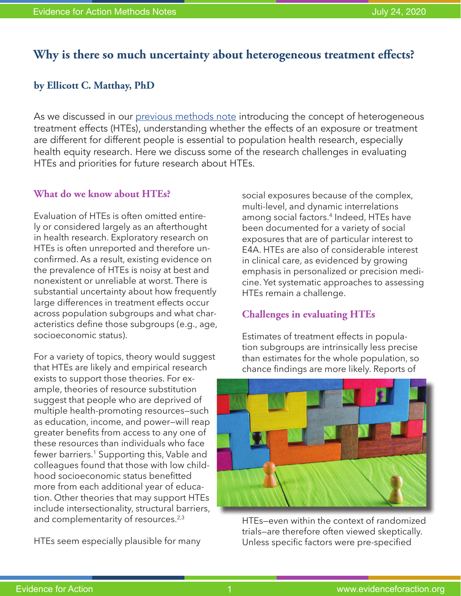# **Why is there so much uncertainty about heterogeneous treatment effects?**

### **by Ellicott C. Matthay, PhD**

As we discussed in our [previous methods note](https://www.evidenceforaction.org/sites/default/files/E4A-Methods-Note-HTEp1.pdf) introducing the concept of heterogeneous treatment effects (HTEs), understanding whether the effects of an exposure or treatment are different for different people is essential to population health research, especially health equity research. Here we discuss some of the research challenges in evaluating HTEs and priorities for future research about HTEs.

### **What do we know about HTEs?**

Evaluation of HTEs is often omitted entirely or considered largely as an afterthought in health research. Exploratory research on HTEs is often unreported and therefore unconfirmed. As a result, existing evidence on the prevalence of HTEs is noisy at best and nonexistent or unreliable at worst. There is substantial uncertainty about how frequently large differences in treatment effects occur across population subgroups and what characteristics define those subgroups (e.g., age, socioeconomic status).

For a variety of topics, theory would suggest that HTEs are likely and empirical research exists to support those theories. For example, theories of resource substitution suggest that people who are deprived of multiple health-promoting resources—such as education, income, and power—will reap greater benefits from access to any one of these resources than individuals who face fewer barriers.<sup>1</sup> Supporting this, Vable and colleagues found that those with low childhood socioeconomic status benefitted more from each additional year of education. Other theories that may support HTEs include intersectionality, structural barriers, and complementarity of resources.<sup>2,3</sup>

HTEs seem especially plausible for many

social exposures because of the complex, multi-level, and dynamic interrelations among social factors.4 Indeed, HTEs have been documented for a variety of social exposures that are of particular interest to E4A. HTEs are also of considerable interest in clinical care, as evidenced by growing emphasis in personalized or precision medicine. Yet systematic approaches to assessing HTEs remain a challenge.

## **Challenges in evaluating HTEs**

Estimates of treatment effects in population subgroups are intrinsically less precise than estimates for the whole population, so chance findings are more likely. Reports of



HTEs—even within the context of randomized trials—are therefore often viewed skeptically. Unless specific factors were pre-specified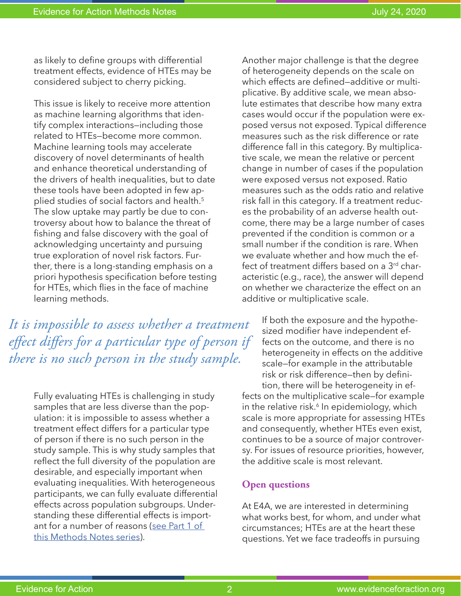as likely to define groups with differential treatment effects, evidence of HTEs may be considered subject to cherry picking.

This issue is likely to receive more attention as machine learning algorithms that identify complex interactions—including those related to HTEs—become more common. Machine learning tools may accelerate discovery of novel determinants of health and enhance theoretical understanding of the drivers of health inequalities, but to date these tools have been adopted in few applied studies of social factors and health.5 The slow uptake may partly be due to controversy about how to balance the threat of fishing and false discovery with the goal of acknowledging uncertainty and pursuing true exploration of novel risk factors. Further, there is a long-standing emphasis on a priori hypothesis specification before testing for HTEs, which flies in the face of machine learning methods.

*It is impossible to assess whether a treatment effect differs for a particular type of person if there is no such person in the study sample.*

> Fully evaluating HTEs is challenging in study samples that are less diverse than the population: it is impossible to assess whether a treatment effect differs for a particular type of person if there is no such person in the study sample. This is why study samples that reflect the full diversity of the population are desirable, and especially important when evaluating inequalities. With heterogeneous participants, we can fully evaluate differential effects across population subgroups. Understanding these differential effects is important for a number of reasons ([see Part 1 of](https://www.evidenceforaction.org/sites/default/files/E4A-Methods-Note-HTEp1.pdf)  [this Methods Notes series\)](https://www.evidenceforaction.org/sites/default/files/E4A-Methods-Note-HTEp1.pdf).

Another major challenge is that the degree of heterogeneity depends on the scale on which effects are defined—additive or multiplicative. By additive scale, we mean absolute estimates that describe how many extra cases would occur if the population were exposed versus not exposed. Typical difference measures such as the risk difference or rate difference fall in this category. By multiplicative scale, we mean the relative or percent change in number of cases if the population were exposed versus not exposed. Ratio measures such as the odds ratio and relative risk fall in this category. If a treatment reduces the probability of an adverse health outcome, there may be a large number of cases prevented if the condition is common or a small number if the condition is rare. When we evaluate whether and how much the effect of treatment differs based on a  $3<sup>rd</sup>$  characteristic (e.g., race), the answer will depend on whether we characterize the effect on an additive or multiplicative scale.

If both the exposure and the hypothesized modifier have independent effects on the outcome, and there is no heterogeneity in effects on the additive scale—for example in the attributable risk or risk difference—then by definition, there will be heterogeneity in effects on the multiplicative scale—for example in the relative risk.<sup>6</sup> In epidemiology, which scale is more appropriate for assessing HTEs and consequently, whether HTEs even exist, continues to be a source of major controversy. For issues of resource priorities, however, the additive scale is most relevant.

#### **Open questions**

At E4A, we are interested in determining what works best, for whom, and under what circumstances; HTEs are at the heart these questions. Yet we face tradeoffs in pursuing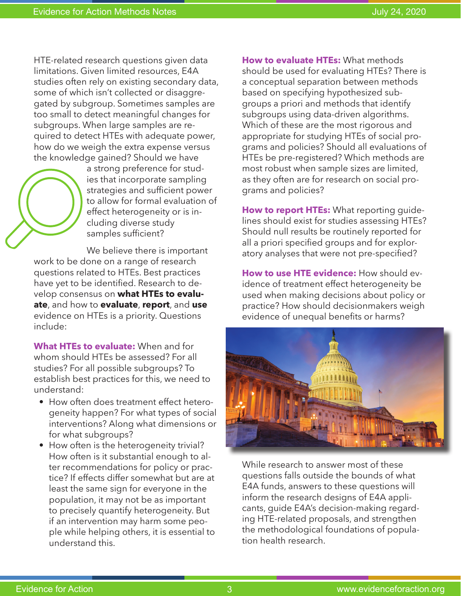HTE-related research questions given data limitations. Given limited resources, E4A studies often rely on existing secondary data, some of which isn't collected or disaggregated by subgroup. Sometimes samples are too small to detect meaningful changes for subgroups. When large samples are required to detect HTEs with adequate power, how do we weigh the extra expense versus the knowledge gained? Should we have



a strong preference for studies that incorporate sampling strategies and sufficient power to allow for formal evaluation of effect heterogeneity or is including diverse study samples sufficient?

We believe there is important work to be done on a range of research questions related to HTEs. Best practices have yet to be identified. Research to develop consensus on **what HTEs to evaluate**, and how to **evaluate**, **report**, and **use** evidence on HTEs is a priority. Questions include:

**What HTEs to evaluate:** When and for whom should HTEs be assessed? For all studies? For all possible subgroups? To establish best practices for this, we need to understand:

- How often does treatment effect heterogeneity happen? For what types of social interventions? Along what dimensions or for what subgroups?
- How often is the heterogeneity trivial? How often is it substantial enough to alter recommendations for policy or practice? If effects differ somewhat but are at least the same sign for everyone in the population, it may not be as important to precisely quantify heterogeneity. But if an intervention may harm some people while helping others, it is essential to understand this.

**How to evaluate HTEs:** What methods should be used for evaluating HTEs? There is a conceptual separation between methods based on specifying hypothesized subgroups a priori and methods that identify subgroups using data-driven algorithms. Which of these are the most rigorous and appropriate for studying HTEs of social programs and policies? Should all evaluations of HTEs be pre-registered? Which methods are most robust when sample sizes are limited, as they often are for research on social programs and policies?

**How to report HTEs:** What reporting guidelines should exist for studies assessing HTEs? Should null results be routinely reported for all a priori specified groups and for exploratory analyses that were not pre-specified?

**How to use HTE evidence:** How should evidence of treatment effect heterogeneity be used when making decisions about policy or practice? How should decisionmakers weigh evidence of unequal benefits or harms?



While research to answer most of these questions falls outside the bounds of what E4A funds, answers to these questions will inform the research designs of E4A applicants, guide E4A's decision-making regarding HTE-related proposals, and strengthen the methodological foundations of population health research.